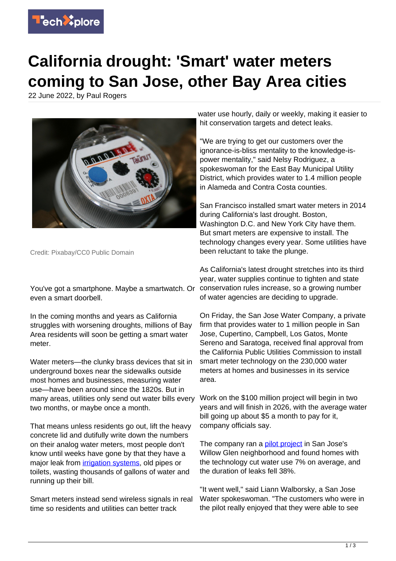

## **California drought: 'Smart' water meters coming to San Jose, other Bay Area cities**

22 June 2022, by Paul Rogers



Credit: Pixabay/CC0 Public Domain

You've got a smartphone. Maybe a smartwatch. Or even a smart doorbell.

In the coming months and years as California struggles with worsening droughts, millions of Bay Area residents will soon be getting a smart water meter.

Water meters—the clunky brass devices that sit in underground boxes near the sidewalks outside most homes and businesses, measuring water use—have been around since the 1820s. But in many areas, utilities only send out water bills every two months, or maybe once a month.

That means unless residents go out, lift the heavy concrete lid and dutifully write down the numbers on their analog water meters, most people don't know until weeks have gone by that they have a major leak from *irrigation systems*, old pipes or toilets, wasting thousands of gallons of water and running up their bill.

Smart meters instead send wireless signals in real time so residents and utilities can better track

water use hourly, daily or weekly, making it easier to hit conservation targets and detect leaks.

"We are trying to get our customers over the ignorance-is-bliss mentality to the knowledge-ispower mentality," said Nelsy Rodriguez, a spokeswoman for the East Bay Municipal Utility District, which provides water to 1.4 million people in Alameda and Contra Costa counties.

San Francisco installed smart water meters in 2014 during California's last drought. Boston, Washington D.C. and New York City have them. But smart meters are expensive to install. The technology changes every year. Some utilities have been reluctant to take the plunge.

As California's latest drought stretches into its third year, water supplies continue to tighten and state conservation rules increase, so a growing number of water agencies are deciding to upgrade.

On Friday, the San Jose Water Company, a private firm that provides water to 1 million people in San Jose, Cupertino, Campbell, Los Gatos, Monte Sereno and Saratoga, received final approval from the California Public Utilities Commission to install smart meter technology on the 230,000 water meters at homes and businesses in its service area.

Work on the \$100 million project will begin in two years and will finish in 2026, with the average water bill going up about \$5 a month to pay for it, company officials say.

The company ran a [pilot project](https://techxplore.com/tags/pilot+project/) in San Jose's Willow Glen neighborhood and found homes with the technology cut water use 7% on average, and the duration of leaks fell 38%.

"It went well," said Liann Walborsky, a San Jose Water spokeswoman. "The customers who were in the pilot really enjoyed that they were able to see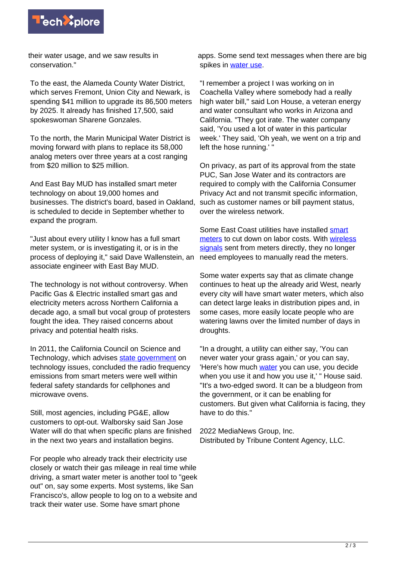

their water usage, and we saw results in conservation."

To the east, the Alameda County Water District, which serves Fremont, Union City and Newark, is spending \$41 million to upgrade its 86,500 meters by 2025. It already has finished 17,500, said spokeswoman Sharene Gonzales.

To the north, the Marin Municipal Water District is moving forward with plans to replace its 58,000 analog meters over three years at a cost ranging from \$20 million to \$25 million.

And East Bay MUD has installed smart meter technology on about 19,000 homes and businesses. The district's board, based in Oakland, is scheduled to decide in September whether to expand the program.

"Just about every utility I know has a full smart meter system, or is investigating it, or is in the process of deploying it," said Dave Wallenstein, an associate engineer with East Bay MUD.

The technology is not without controversy. When Pacific Gas & Electric installed smart gas and electricity meters across Northern California a decade ago, a small but vocal group of protesters fought the idea. They raised concerns about privacy and potential health risks.

In 2011, the California Council on Science and Technology, which advises [state government](https://techxplore.com/tags/state+government/) on technology issues, concluded the radio frequency emissions from smart meters were well within federal safety standards for cellphones and microwave ovens.

Still, most agencies, including PG&E, allow customers to opt-out. Walborsky said San Jose Water will do that when specific plans are finished in the next two years and installation begins.

For people who already track their electricity use closely or watch their gas mileage in real time while driving, a smart water meter is another tool to "geek out" on, say some experts. Most systems, like San Francisco's, allow people to log on to a website and track their water use. Some have smart phone

apps. Some send text messages when there are big spikes in [water use](https://techxplore.com/tags/water+use/).

"I remember a project I was working on in Coachella Valley where somebody had a really high water bill," said Lon House, a veteran energy and water consultant who works in Arizona and California. "They got irate. The water company said, 'You used a lot of water in this particular week.' They said, 'Oh yeah, we went on a trip and left the hose running.' "

On privacy, as part of its approval from the state PUC, San Jose Water and its contractors are required to comply with the California Consumer Privacy Act and not transmit specific information, such as customer names or bill payment status, over the wireless network.

Some East Coast utilities have installed [smart](https://techxplore.com/tags/smart+meters/) [meters](https://techxplore.com/tags/smart+meters/) to cut down on labor costs. With [wireless](https://techxplore.com/tags/wireless+signals/) [signals](https://techxplore.com/tags/wireless+signals/) sent from meters directly, they no longer need employees to manually read the meters.

Some water experts say that as climate change continues to heat up the already arid West, nearly every city will have smart water meters, which also can detect large leaks in distribution pipes and, in some cases, more easily locate people who are watering lawns over the limited number of days in droughts.

"In a drought, a utility can either say, 'You can never water your grass again,' or you can say, 'Here's how much [water](https://techxplore.com/tags/water/) you can use, you decide when you use it and how you use it,' " House said. "It's a two-edged sword. It can be a bludgeon from the government, or it can be enabling for customers. But given what California is facing, they have to do this."

2022 MediaNews Group, Inc. Distributed by Tribune Content Agency, LLC.